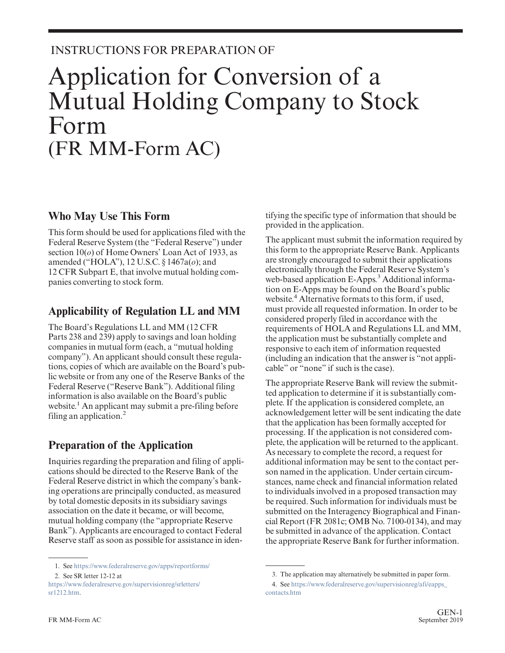### INSTRUCTIONS FOR PREPARATION OF

# Application for Conversion of a Mutual Holding Company to Stock Form (FR MM-Form AC)

### **Who May Use This Form**

This form should be used for applications filed with the Federal Reserve System (the "Federal Reserve") under section 10(*o*) of Home Owners' Loan Act of 1933, as amended ("HOLA"), 12 U.S.C. § 1467a(*o*); and 12 CFR Subpart E, that involve mutual holding companies converting to stock form.

### **Applicability of Regulation LL and MM**

The Board's Regulations LL and MM (12 CFR Parts 238 and 239) apply to savings and loan holding companies in mutual form (each, a "mutual holding company"). An applicant should consult these regulations, copies of which are available on the Board's public website or from any one of the Reserve Banks of the Federal Reserve ("Reserve Bank"). Additional filing information is also available on the Board's public website.<sup>1</sup> An applicant may submit a pre-filing before filing an application. $<sup>2</sup>$ </sup>

# **Preparation of the Application**

Inquiries regarding the preparation and filing of applications should be directed to the Reserve Bank of the Federal Reserve district in which the company's banking operations are principally conducted, as measured by total domestic deposits in its subsidiary savings association on the date it became, or will become, mutual holding company (the "appropriate Reserve Bank"). Applicants are encouraged to contact Federal Reserve staff as soon as possible for assistance in identifying the specific type of information that should be provided in the application.

The applicant must submit the information required by this form to the appropriate Reserve Bank. Applicants are strongly encouraged to submit their applications electronically through the Federal Reserve System's web-based application E-Apps.<sup>3</sup> Additional information on E-Apps may be found on the Board's public website.<sup>4</sup> Alternative formats to this form, if used, must provide all requested information. In order to be considered properly filed in accordance with the requirements of HOLA and Regulations LL and MM, the application must be substantially complete and responsive to each item of information requested (including an indication that the answer is "not applicable" or "none" if such is the case).

The appropriate Reserve Bank will review the submitted application to determine if it is substantially complete. If the application is considered complete, an acknowledgement letter will be sent indicating the date that the application has been formally accepted for processing. If the application is not considered complete, the application will be returned to the applicant. As necessary to complete the record, a request for additional information may be sent to the contact person named in the application. Under certain circumstances, name check and financial information related to individuals involved in a proposed transaction may be required. Such information for individuals must be submitted on the Interagency Biographical and Financial Report (FR 2081c; OMB No. 7100-0134), and may be submitted in advance of the application. Contact the appropriate Reserve Bank for further information.

<sup>1.</sup> See <https://www.federalreserve.gov/apps/reportforms/>

<sup>2.</sup> See SR letter 12-12 at

[https://www.federalreserve.gov/supervisionreg/srletters/](https://www.federalreserve.gov/supervisionreg/srletters/sr1212.htm) [sr1212.htm.](https://www.federalreserve.gov/supervisionreg/srletters/sr1212.htm)

<sup>3.</sup> The application may alternatively be submitted in paper form.

<sup>4.</sup> See [https://www.federalreserve.gov/supervisionreg/afi/eapps\\_](https://www.federalreserve.gov/supervisionreg/afi/eapps_contacts.htm) [contacts.htm](https://www.federalreserve.gov/supervisionreg/afi/eapps_contacts.htm)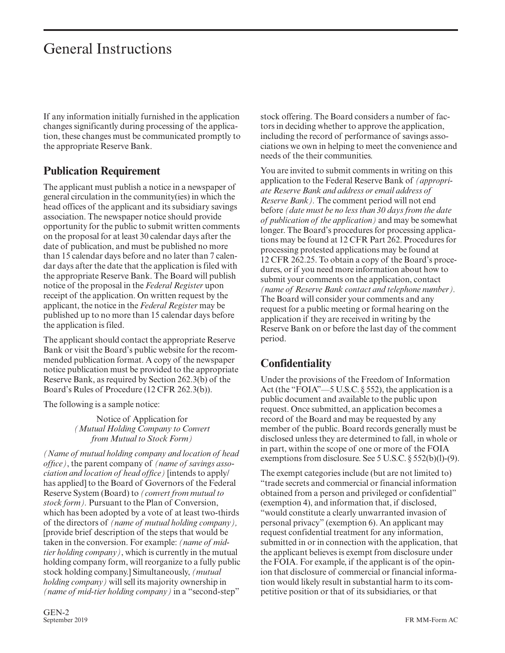If any information initially furnished in the application changes significantly during processing of the application, these changes must be communicated promptly to the appropriate Reserve Bank.

### **Publication Requirement**

The applicant must publish a notice in a newspaper of general circulation in the community(ies) in which the head offices of the applicant and its subsidiary savings association. The newspaper notice should provide opportunity for the public to submit written comments on the proposal for at least 30 calendar days after the date of publication, and must be published no more than 15 calendar days before and no later than 7 calendar days after the date that the application is filed with the appropriate Reserve Bank. The Board will publish notice of the proposal in the *Federal Register* upon receipt of the application. On written request by the applicant, the notice in the *Federal Register* may be published up to no more than 15 calendar days before the application is filed.

The applicant should contact the appropriate Reserve Bank or visit the Board's public website for the recommended publication format. A copy of the newspaper notice publication must be provided to the appropriate Reserve Bank, as required by Section 262.3(b) of the Board's Rules of Procedure (12 CFR 262.3(b)).

The following is a sample notice:

Notice of Application for *(Mutual Holding Company to Convert from Mutual to Stock Form)*

*(Name of mutual holding company and location of head offıce)*, the parent company of *(name of savings association and location of head office)* [intends to apply/ has applied] to the Board of Governors of the Federal Reserve System (Board) to *(convert from mutual to stock form).* Pursuant to the Plan of Conversion, which has been adopted by a vote of at least two-thirds of the directors of *(name of mutual holding company),* [provide brief description of the steps that would be taken in the conversion. For example: *(name of midtier holding company)*, which is currently in the mutual holding company form, will reorganize to a fully public stock holding company.] Simultaneously, *(mutual holding company)* will sell its majority ownership in *(name of mid-tier holding company)* in a "second-step"

stock offering. The Board considers a number of factors in deciding whether to approve the application, including the record of performance of savings associations we own in helping to meet the convenience and needs of the their communities.

You are invited to submit comments in writing on this application to the Federal Reserve Bank of *(appropriate Reserve Bank and address or email address of Reserve Bank).* The comment period will not end before *(date must be no less than 30 days from the date of publication of the application)* and may be somewhat longer. The Board's procedures for processing applications may be found at 12 CFR Part 262. Procedures for processing protested applications may be found at 12 CFR 262.25. To obtain a copy of the Board's procedures, or if you need more information about how to submit your comments on the application, contact *(name of Reserve Bank contact and telephone number).* The Board will consider your comments and any request for a public meeting or formal hearing on the application if they are received in writing by the Reserve Bank on or before the last day of the comment period.

## **Confidentiality**

Under the provisions of the Freedom of Information Act (the "FOIA" $-5$  U.S.C. § 552), the application is a public document and available to the public upon request. Once submitted, an application becomes a record of the Board and may be requested by any member of the public. Board records generally must be disclosed unless they are determined to fall, in whole or in part, within the scope of one or more of the FOIA exemptions from disclosure. See 5 U.S.C. § 552(b)(l)-(9).

The exempt categories include (but are not limited to) "trade secrets and commercial or financial information obtained from a person and privileged or confidential" (exemption 4), and information that, if disclosed, "would constitute a clearly unwarranted invasion of personal privacy" (exemption 6). An applicant may request confidential treatment for any information, submitted in or in connection with the application, that the applicant believes is exempt from disclosure under the FOIA. For example, if the applicant is of the opinion that disclosure of commercial or financial information would likely result in substantial harm to its competitive position or that of its subsidiaries, or that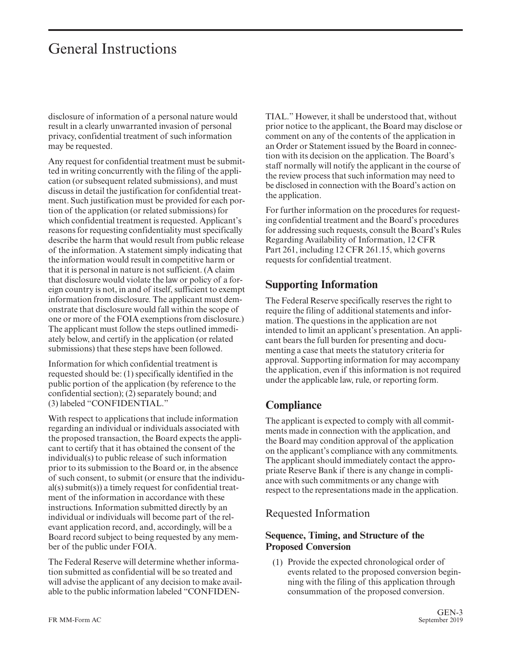disclosure of information of a personal nature would result in a clearly unwarranted invasion of personal privacy, confidential treatment of such information may be requested.

Any request for confidential treatment must be submitted in writing concurrently with the filing of the application (or subsequent related submissions), and must discuss in detail the justification for confidential treatment. Such justification must be provided for each portion of the application (or related submissions) for which confidential treatment is requested. Applicant's reasons for requesting confidentiality must specifically describe the harm that would result from public release of the information. A statement simply indicating that the information would result in competitive harm or that it is personal in nature is not sufficient. (A claim that disclosure would violate the law or policy of a foreign country is not, in and of itself, sufficient to exempt information from disclosure. The applicant must demonstrate that disclosure would fall within the scope of one or more of the FOIA exemptions from disclosure.) The applicant must follow the steps outlined immediately below, and certify in the application (or related submissions) that these steps have been followed.

Information for which confidential treatment is requested should be: (1) specifically identified in the public portion of the application (by reference to the confidential section); (2) separately bound; and (3) labeled "CONFIDENTIAL."

With respect to applications that include information regarding an individual or individuals associated with the proposed transaction, the Board expects the applicant to certify that it has obtained the consent of the individual(s) to public release of such information prior to its submission to the Board or, in the absence of such consent, to submit (or ensure that the individual(s) submit(s)) a timely request for confidential treatment of the information in accordance with these instructions. Information submitted directly by an individual or individuals will become part of the relevant application record, and, accordingly, will be a Board record subject to being requested by any member of the public under FOIA.

The Federal Reserve will determine whether information submitted as confidential will be so treated and will advise the applicant of any decision to make available to the public information labeled "CONFIDEN-

TIAL." However, it shall be understood that, without prior notice to the applicant, the Board may disclose or comment on any of the contents of the application in an Order or Statement issued by the Board in connection with its decision on the application. The Board's staff normally will notify the applicant in the course of the review process that such information may need to be disclosed in connection with the Board's action on the application.

For further information on the procedures for requesting confidential treatment and the Board's procedures for addressing such requests, consult the Board's Rules Regarding Availability of Information, 12 CFR Part 261, including 12 CFR 261.15, which governs requests for confidential treatment.

### **Supporting Information**

The Federal Reserve specifically reserves the right to require the filing of additional statements and information. The questions in the application are not intended to limit an applicant's presentation. An applicant bears the full burden for presenting and documenting a case that meets the statutory criteria for approval. Supporting information for may accompany the application, even if this information is not required under the applicable law, rule, or reporting form.

# **Compliance**

The applicant is expected to comply with all commitments made in connection with the application, and the Board may condition approval of the application on the applicant's compliance with any commitments. The applicant should immediately contact the appropriate Reserve Bank if there is any change in compliance with such commitments or any change with respect to the representations made in the application.

### Requested Information

#### **Sequence, Timing, and Structure of the Proposed Conversion**

(1) Provide the expected chronological order of events related to the proposed conversion beginning with the filing of this application through consummation of the proposed conversion.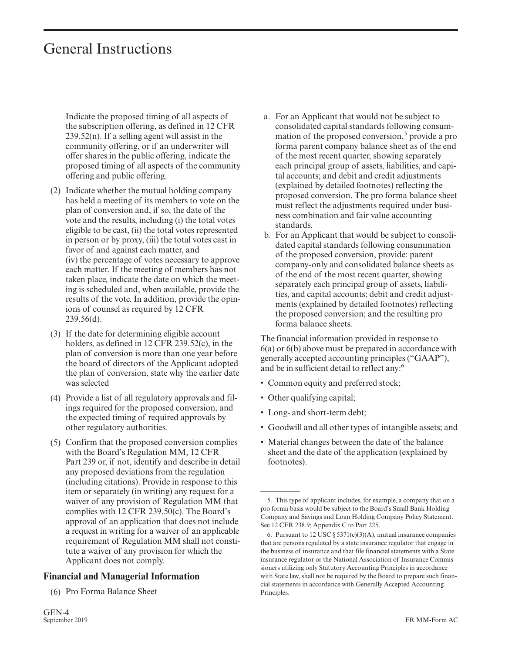Indicate the proposed timing of all aspects of the subscription offering, as defined in 12 CFR 239.52(n). If a selling agent will assist in the community offering, or if an underwriter will offer shares in the public offering, indicate the proposed timing of all aspects of the community offering and public offering.

- (2) Indicate whether the mutual holding company has held a meeting of its members to vote on the plan of conversion and, if so, the date of the vote and the results, including (i) the total votes eligible to be cast, (ii) the total votes represented in person or by proxy, (iii) the total votes cast in favor of and against each matter, and (iv) the percentage of votes necessary to approve each matter. If the meeting of members has not taken place, indicate the date on which the meeting is scheduled and, when available, provide the results of the vote. In addition, provide the opinions of counsel as required by 12 CFR 239.56(d).
- (3) If the date for determining eligible account holders, as defined in 12 CFR 239.52(c), in the plan of conversion is more than one year before the board of directors of the Applicant adopted the plan of conversion, state why the earlier date was selected
- (4) Provide a list of all regulatory approvals and filings required for the proposed conversion, and the expected timing of required approvals by other regulatory authorities.
- (5) Confirm that the proposed conversion complies with the Board's Regulation MM, 12 CFR Part 239 or, if not, identify and describe in detail any proposed deviations from the regulation (including citations). Provide in response to this item or separately (in writing) any request for a waiver of any provision of Regulation MM that complies with 12 CFR 239.50(c). The Board's approval of an application that does not include a request in writing for a waiver of an applicable requirement of Regulation MM shall not constitute a waiver of any provision for which the Applicant does not comply.

#### **Financial and Managerial Information**

(6) Pro Forma Balance Sheet

- a. For an Applicant that would not be subject to consolidated capital standards following consummation of the proposed conversion,<sup>5</sup> provide a pro forma parent company balance sheet as of the end of the most recent quarter, showing separately each principal group of assets, liabilities, and capital accounts; and debit and credit adjustments (explained by detailed footnotes) reflecting the proposed conversion. The pro forma balance sheet must reflect the adjustments required under business combination and fair value accounting standards.
- b. For an Applicant that would be subject to consolidated capital standards following consummation of the proposed conversion, provide: parent company-only and consolidated balance sheets as of the end of the most recent quarter, showing separately each principal group of assets, liabilities, and capital accounts; debit and credit adjustments (explained by detailed footnotes) reflecting the proposed conversion; and the resulting pro forma balance sheets.

The financial information provided in response to 6(a) or 6(b) above must be prepared in accordance with generally accepted accounting principles ("GAAP"), and be in sufficient detail to reflect any:<sup>6</sup>

- Common equity and preferred stock;
- Other qualifying capital;
- Long- and short-term debt;
- Goodwill and all other types of intangible assets; and
- Material changes between the date of the balance sheet and the date of the application (explained by footnotes).

<sup>5.</sup> This type of applicant includes, for example, a company that on a pro forma basis would be subject to the Board's Small Bank Holding Company and Savings and Loan Holding Company Policy Statement. See 12 CFR 238.9; Appendix C to Part 225.

<sup>6.</sup> Pursuant to 12 USC  $\S 5371(c)(3)(A)$ , mutual insurance companies that are persons regulated by a state insurance regulator that engage in the business of insurance and that file financial statements with a State insurance regulator or the National Association of Insurance Commissioners utilizing only Statutory Accounting Principles in accordance with State law, shall not be required by the Board to prepare such financial statements in accordance with Generally Accepted Accounting Principles.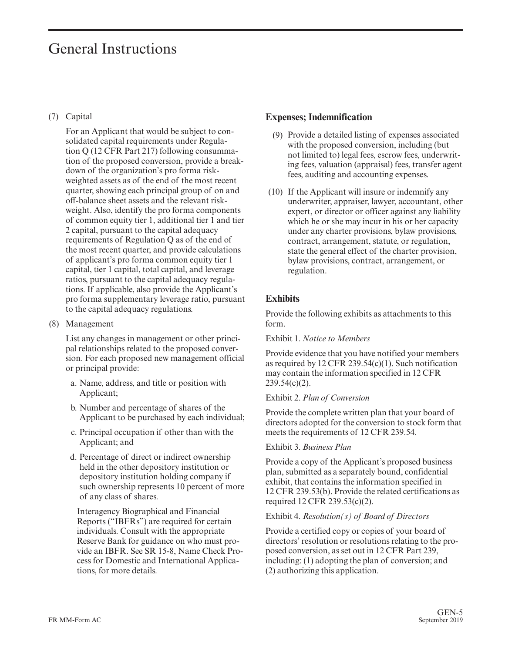#### (7) Capital

For an Applicant that would be subject to consolidated capital requirements under Regulation Q (12 CFR Part 217) following consummation of the proposed conversion, provide a breakdown of the organization's pro forma riskweighted assets as of the end of the most recent quarter, showing each principal group of on and off-balance sheet assets and the relevant riskweight. Also, identify the pro forma components of common equity tier 1, additional tier 1 and tier 2 capital, pursuant to the capital adequacy requirements of Regulation Q as of the end of the most recent quarter, and provide calculations of applicant's pro forma common equity tier 1 capital, tier 1 capital, total capital, and leverage ratios, pursuant to the capital adequacy regulations. If applicable, also provide the Applicant's pro forma supplementary leverage ratio, pursuant to the capital adequacy regulations.

(8) Management

List any changes in management or other principal relationships related to the proposed conversion. For each proposed new management official or principal provide:

- a. Name, address, and title or position with Applicant;
- b. Number and percentage of shares of the Applicant to be purchased by each individual;
- c. Principal occupation if other than with the Applicant; and
- d. Percentage of direct or indirect ownership held in the other depository institution or depository institution holding company if such ownership represents 10 percent of more of any class of shares.

Interagency Biographical and Financial Reports ("IBFRs") are required for certain individuals. Consult with the appropriate Reserve Bank for guidance on who must provide an IBFR. See SR 15-8, Name Check Process for Domestic and International Applications, for more details.

#### **Expenses; Indemnification**

- (9) Provide a detailed listing of expenses associated with the proposed conversion, including (but not limited to) legal fees, escrow fees, underwriting fees, valuation (appraisal) fees, transfer agent fees, auditing and accounting expenses.
- (10) If the Applicant will insure or indemnify any underwriter, appraiser, lawyer, accountant, other expert, or director or officer against any liability which he or she may incur in his or her capacity under any charter provisions, bylaw provisions, contract, arrangement, statute, or regulation, state the general effect of the charter provision, bylaw provisions, contract, arrangement, or regulation.

#### **Exhibits**

Provide the following exhibits as attachments to this form.

Exhibit 1. *Notice to Members*

Provide evidence that you have notified your members as required by 12 CFR 239.54(c)(1). Such notification may contain the information specified in 12 CFR 239.54(c)(2).

#### Exhibit 2. *Plan of Conversion*

Provide the complete written plan that your board of directors adopted for the conversion to stock form that meets the requirements of 12 CFR 239.54.

#### Exhibit 3. *Business Plan*

Provide a copy of the Applicant's proposed business plan, submitted as a separately bound, confidential exhibit, that contains the information specified in 12 CFR 239.53(b). Provide the related certifications as required 12 CFR 239.53(c)(2).

#### Exhibit 4. *Resolution(s) of Board of Directors*

Provide a certified copy or copies of your board of directors' resolution or resolutions relating to the proposed conversion, as set out in 12 CFR Part 239, including: (1) adopting the plan of conversion; and (2) authorizing this application.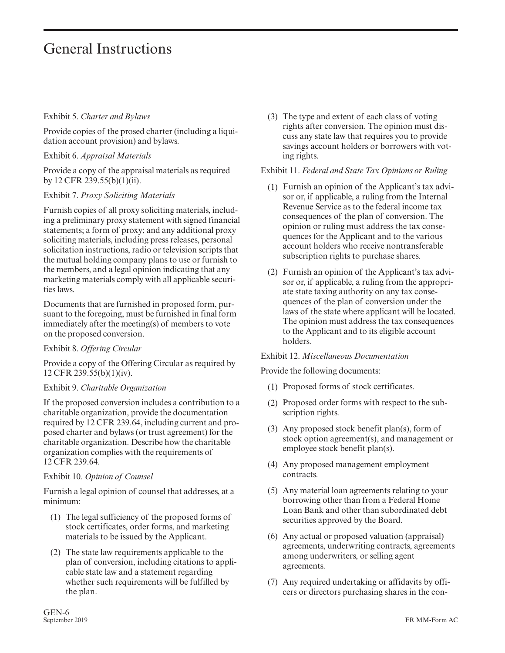#### Exhibit 5. *Charter and Bylaws*

Provide copies of the prosed charter (including a liquidation account provision) and bylaws.

Exhibit 6. *Appraisal Materials*

Provide a copy of the appraisal materials as required by 12 CFR 239.55(b)(1)(ii).

#### Exhibit 7. *Proxy Soliciting Materials*

Furnish copies of all proxy soliciting materials, including a preliminary proxy statement with signed financial statements; a form of proxy; and any additional proxy soliciting materials, including press releases, personal solicitation instructions, radio or television scripts that the mutual holding company plans to use or furnish to the members, and a legal opinion indicating that any marketing materials comply with all applicable securities laws.

Documents that are furnished in proposed form, pursuant to the foregoing, must be furnished in final form immediately after the meeting(s) of members to vote on the proposed conversion.

#### Exhibit 8. *Offering Circular*

Provide a copy of the Offering Circular as required by 12 CFR 239.55(b)(1)(iv).

#### Exhibit 9. *Charitable Organization*

If the proposed conversion includes a contribution to a charitable organization, provide the documentation required by 12 CFR 239.64, including current and proposed charter and bylaws (or trust agreement) for the charitable organization. Describe how the charitable organization complies with the requirements of 12 CFR 239.64.

#### Exhibit 10. *Opinion of Counsel*

Furnish a legal opinion of counsel that addresses, at a minimum:

- (1) The legal sufficiency of the proposed forms of stock certificates, order forms, and marketing materials to be issued by the Applicant.
- (2) The state law requirements applicable to the plan of conversion, including citations to applicable state law and a statement regarding whether such requirements will be fulfilled by the plan.

(3) The type and extent of each class of voting rights after conversion. The opinion must discuss any state law that requires you to provide savings account holders or borrowers with voting rights.

#### Exhibit 11. *Federal and State Tax Opinions or Ruling*

- (1) Furnish an opinion of the Applicant's tax advisor or, if applicable, a ruling from the Internal Revenue Service as to the federal income tax consequences of the plan of conversion. The opinion or ruling must address the tax consequences for the Applicant and to the various account holders who receive nontransferable subscription rights to purchase shares.
- (2) Furnish an opinion of the Applicant's tax advisor or, if applicable, a ruling from the appropriate state taxing authority on any tax consequences of the plan of conversion under the laws of the state where applicant will be located. The opinion must address the tax consequences to the Applicant and to its eligible account holders.

#### Exhibit 12. *Miscellaneous Documentation*

Provide the following documents:

- (1) Proposed forms of stock certificates.
- (2) Proposed order forms with respect to the subscription rights.
- (3) Any proposed stock benefit plan(s), form of stock option agreement(s), and management or employee stock benefit plan(s).
- (4) Any proposed management employment contracts.
- (5) Any material loan agreements relating to your borrowing other than from a Federal Home Loan Bank and other than subordinated debt securities approved by the Board.
- (6) Any actual or proposed valuation (appraisal) agreements, underwriting contracts, agreements among underwriters, or selling agent agreements.
- (7) Any required undertaking or affidavits by officers or directors purchasing shares in the con-